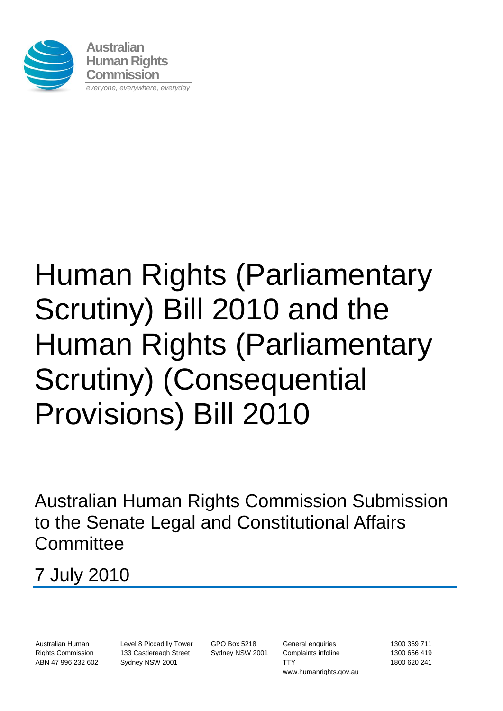

# Human Rights (Parliamentary Scrutiny) Bill 2010 and the Human Rights (Parliamentary Scrutiny) (Consequential Provisions) Bill 2010

Australian Human Rights Commission Submission to the Senate Legal and Constitutional Affairs **Committee** 

## 7 July 2010

Australian Human Rights Commission ABN 47 996 232 602 Level 8 Piccadilly Tower 133 Castlereagh Street Sydney NSW 2001

GPO Box 5218 Sydney NSW 2001

General enquiries Complaints infoline **TTY** www.humanrights.gov.au

1300 369 711 1300 656 419 1800 620 241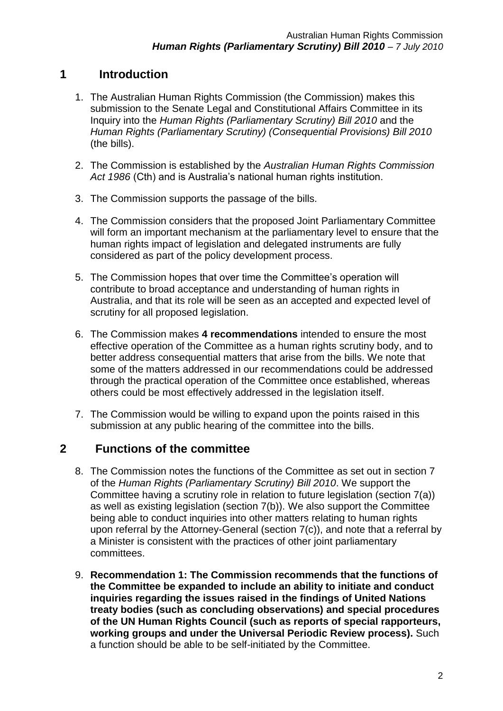#### **1 Introduction**

- 1. The Australian Human Rights Commission (the Commission) makes this submission to the Senate Legal and Constitutional Affairs Committee in its Inquiry into the *Human Rights (Parliamentary Scrutiny) Bill 2010* and the *Human Rights (Parliamentary Scrutiny) (Consequential Provisions) Bill 2010* (the bills).
- 2. The Commission is established by the *Australian Human Rights Commission Act 1986* (Cth) and is Australia"s national human rights institution.
- 3. The Commission supports the passage of the bills.
- 4. The Commission considers that the proposed Joint Parliamentary Committee will form an important mechanism at the parliamentary level to ensure that the human rights impact of legislation and delegated instruments are fully considered as part of the policy development process.
- 5. The Commission hopes that over time the Committee"s operation will contribute to broad acceptance and understanding of human rights in Australia, and that its role will be seen as an accepted and expected level of scrutiny for all proposed legislation.
- 6. The Commission makes **4 recommendations** intended to ensure the most effective operation of the Committee as a human rights scrutiny body, and to better address consequential matters that arise from the bills. We note that some of the matters addressed in our recommendations could be addressed through the practical operation of the Committee once established, whereas others could be most effectively addressed in the legislation itself.
- 7. The Commission would be willing to expand upon the points raised in this submission at any public hearing of the committee into the bills.

#### **2 Functions of the committee**

- 8. The Commission notes the functions of the Committee as set out in section 7 of the *Human Rights (Parliamentary Scrutiny) Bill 2010*. We support the Committee having a scrutiny role in relation to future legislation (section 7(a)) as well as existing legislation (section 7(b)). We also support the Committee being able to conduct inquiries into other matters relating to human rights upon referral by the Attorney-General (section 7(c)), and note that a referral by a Minister is consistent with the practices of other joint parliamentary committees.
- 9. **Recommendation 1: The Commission recommends that the functions of the Committee be expanded to include an ability to initiate and conduct inquiries regarding the issues raised in the findings of United Nations treaty bodies (such as concluding observations) and special procedures of the UN Human Rights Council (such as reports of special rapporteurs, working groups and under the Universal Periodic Review process).** Such a function should be able to be self-initiated by the Committee.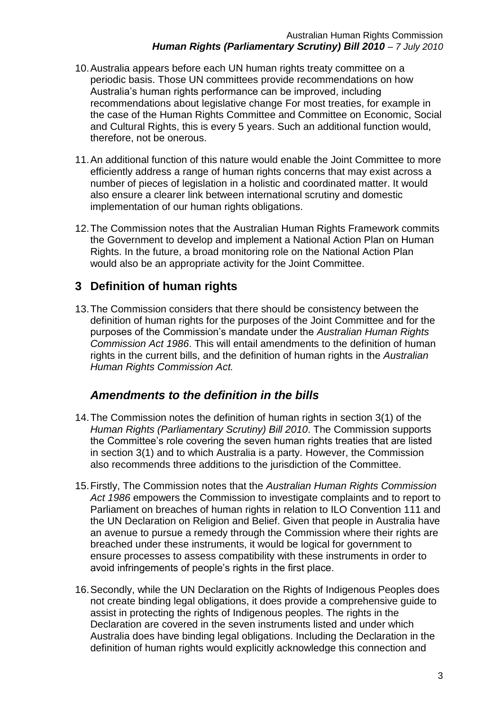- 10.Australia appears before each UN human rights treaty committee on a periodic basis. Those UN committees provide recommendations on how Australia"s human rights performance can be improved, including recommendations about legislative change For most treaties, for example in the case of the Human Rights Committee and Committee on Economic, Social and Cultural Rights, this is every 5 years. Such an additional function would, therefore, not be onerous.
- 11.An additional function of this nature would enable the Joint Committee to more efficiently address a range of human rights concerns that may exist across a number of pieces of legislation in a holistic and coordinated matter. It would also ensure a clearer link between international scrutiny and domestic implementation of our human rights obligations.
- 12.The Commission notes that the Australian Human Rights Framework commits the Government to develop and implement a National Action Plan on Human Rights. In the future, a broad monitoring role on the National Action Plan would also be an appropriate activity for the Joint Committee.

### **3 Definition of human rights**

13.The Commission considers that there should be consistency between the definition of human rights for the purposes of the Joint Committee and for the purposes of the Commission"s mandate under the *Australian Human Rights Commission Act 1986*. This will entail amendments to the definition of human rights in the current bills, and the definition of human rights in the *Australian Human Rights Commission Act.*

#### *Amendments to the definition in the bills*

- 14.The Commission notes the definition of human rights in section 3(1) of the *Human Rights (Parliamentary Scrutiny) Bill 2010*. The Commission supports the Committee"s role covering the seven human rights treaties that are listed in section 3(1) and to which Australia is a party. However, the Commission also recommends three additions to the jurisdiction of the Committee.
- 15.Firstly, The Commission notes that the *Australian Human Rights Commission Act 1986* empowers the Commission to investigate complaints and to report to Parliament on breaches of human rights in relation to ILO Convention 111 and the UN Declaration on Religion and Belief. Given that people in Australia have an avenue to pursue a remedy through the Commission where their rights are breached under these instruments, it would be logical for government to ensure processes to assess compatibility with these instruments in order to avoid infringements of people"s rights in the first place.
- 16.Secondly, while the UN Declaration on the Rights of Indigenous Peoples does not create binding legal obligations, it does provide a comprehensive guide to assist in protecting the rights of Indigenous peoples. The rights in the Declaration are covered in the seven instruments listed and under which Australia does have binding legal obligations. Including the Declaration in the definition of human rights would explicitly acknowledge this connection and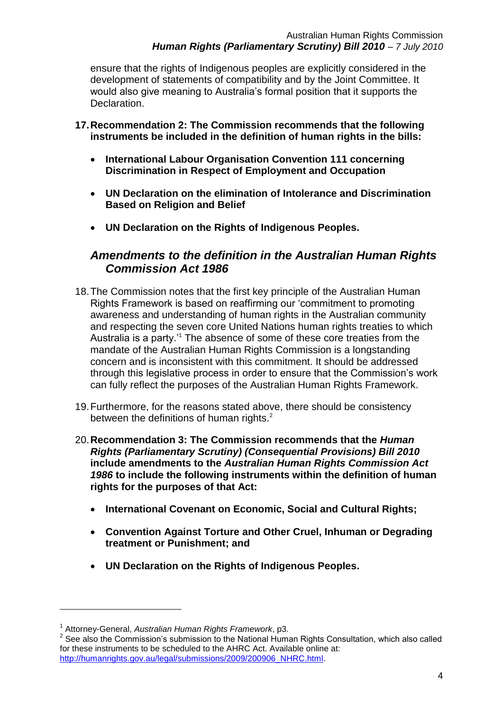ensure that the rights of Indigenous peoples are explicitly considered in the development of statements of compatibility and by the Joint Committee. It would also give meaning to Australia"s formal position that it supports the Declaration.

- **17.Recommendation 2: The Commission recommends that the following instruments be included in the definition of human rights in the bills:**
	- **International Labour Organisation Convention 111 concerning Discrimination in Respect of Employment and Occupation**
	- **UN Declaration on the elimination of Intolerance and Discrimination Based on Religion and Belief**
	- **UN Declaration on the Rights of Indigenous Peoples.**

#### *Amendments to the definition in the Australian Human Rights Commission Act 1986*

- 18.The Commission notes that the first key principle of the Australian Human Rights Framework is based on reaffirming our "commitment to promoting awareness and understanding of human rights in the Australian community and respecting the seven core United Nations human rights treaties to which Australia is a party.<sup>14</sup> The absence of some of these core treaties from the mandate of the Australian Human Rights Commission is a longstanding concern and is inconsistent with this commitment. It should be addressed through this legislative process in order to ensure that the Commission"s work can fully reflect the purposes of the Australian Human Rights Framework.
- 19.Furthermore, for the reasons stated above, there should be consistency between the definitions of human rights.<sup>2</sup>
- 20.**Recommendation 3: The Commission recommends that the** *Human Rights (Parliamentary Scrutiny) (Consequential Provisions) Bill 2010* **include amendments to the** *Australian Human Rights Commission Act 1986* **to include the following instruments within the definition of human rights for the purposes of that Act:**
	- **International Covenant on Economic, Social and Cultural Rights;**
	- **Convention Against Torture and Other Cruel, Inhuman or Degrading treatment or Punishment; and**
	- **UN Declaration on the Rights of Indigenous Peoples.**

 $\overline{a}$ 

<sup>1</sup> Attorney-General, *Australian Human Rights Framework*, p3.

 $2^2$  See also the Commission's submission to the National Human Rights Consultation, which also called for these instruments to be scheduled to the AHRC Act. Available online at: [http://humanrights.gov.au/legal/submissions/2009/200906\\_NHRC.html.](http://humanrights.gov.au/legal/submissions/2009/200906_NHRC.html)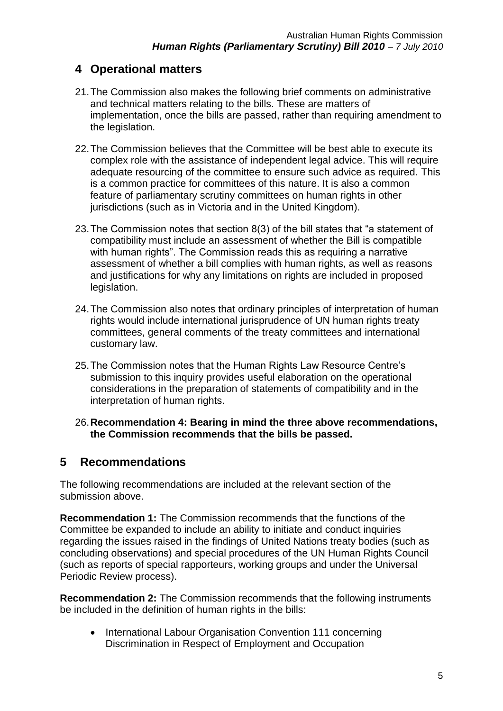#### **4 Operational matters**

- 21.The Commission also makes the following brief comments on administrative and technical matters relating to the bills. These are matters of implementation, once the bills are passed, rather than requiring amendment to the legislation.
- 22.The Commission believes that the Committee will be best able to execute its complex role with the assistance of independent legal advice. This will require adequate resourcing of the committee to ensure such advice as required. This is a common practice for committees of this nature. It is also a common feature of parliamentary scrutiny committees on human rights in other jurisdictions (such as in Victoria and in the United Kingdom).
- 23.The Commission notes that section 8(3) of the bill states that "a statement of compatibility must include an assessment of whether the Bill is compatible with human rights". The Commission reads this as requiring a narrative assessment of whether a bill complies with human rights, as well as reasons and justifications for why any limitations on rights are included in proposed legislation.
- 24.The Commission also notes that ordinary principles of interpretation of human rights would include international jurisprudence of UN human rights treaty committees, general comments of the treaty committees and international customary law.
- 25.The Commission notes that the Human Rights Law Resource Centre"s submission to this inquiry provides useful elaboration on the operational considerations in the preparation of statements of compatibility and in the interpretation of human rights.

#### 26.**Recommendation 4: Bearing in mind the three above recommendations, the Commission recommends that the bills be passed.**

#### **5 Recommendations**

The following recommendations are included at the relevant section of the submission above.

**Recommendation 1:** The Commission recommends that the functions of the Committee be expanded to include an ability to initiate and conduct inquiries regarding the issues raised in the findings of United Nations treaty bodies (such as concluding observations) and special procedures of the UN Human Rights Council (such as reports of special rapporteurs, working groups and under the Universal Periodic Review process).

**Recommendation 2:** The Commission recommends that the following instruments be included in the definition of human rights in the bills:

• International Labour Organisation Convention 111 concerning Discrimination in Respect of Employment and Occupation